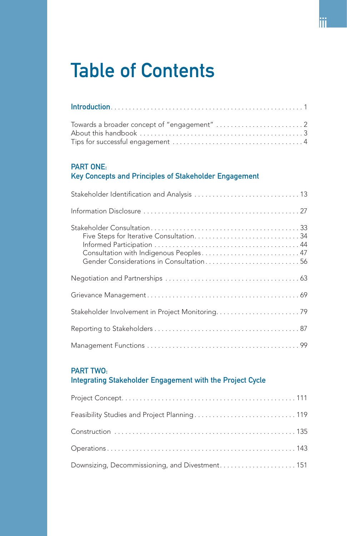# Table of Contents

#### PART ONE:

# Key Concepts and Principles of Stakeholder Engagement

| Consultation with Indigenous Peoples 47<br>Gender Considerations in Consultation56 |  |
|------------------------------------------------------------------------------------|--|
|                                                                                    |  |
|                                                                                    |  |
| Stakeholder Involvement in Project Monitoring79                                    |  |
|                                                                                    |  |
|                                                                                    |  |

### PART TWO:

## Integrating Stakeholder Engagement with the Project Cycle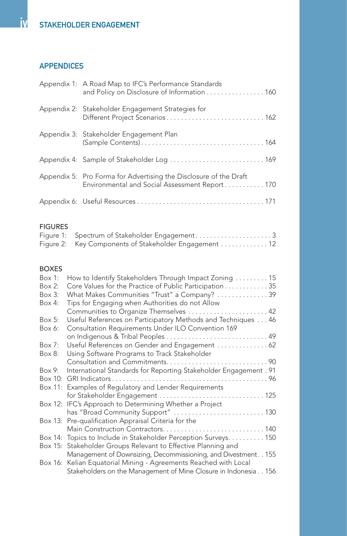# APPENDICES

| Appendix 1: A Road Map to IFC's Performance Standards<br>and Policy on Disclosure of Information 160                |
|---------------------------------------------------------------------------------------------------------------------|
| Appendix 2: Stakeholder Engagement Strategies for                                                                   |
| Appendix 3: Stakeholder Engagement Plan                                                                             |
| Appendix 4: Sample of Stakeholder Log  169                                                                          |
| Appendix 5: Pro Forma for Advertising the Disclosure of the Draft<br>Environmental and Social Assessment Report 170 |
|                                                                                                                     |

#### FIGURES

| Figure 2: Key Components of Stakeholder Engagement 12 |  |
|-------------------------------------------------------|--|

#### BOXES

| $Box 1$ : | How to Identify Stakeholders Through Impact Zoning  15            |  |
|-----------|-------------------------------------------------------------------|--|
| $Box 2$ : | Core Values for the Practice of Public Participation 35           |  |
| Box 3:    | What Makes Communities "Trust" a Company?  39                     |  |
| Box 4:    | Tips for Engaging when Authorities do not Allow                   |  |
|           | Communities to Organize Themselves  42                            |  |
| Box 5:    | Useful References on Participatory Methods and Techniques  46     |  |
| Box 6:    | Consultation Requirements Under ILO Convention 169                |  |
|           |                                                                   |  |
| Box 7:    | Useful References on Gender and Engagement  62                    |  |
| Box 8:    | Using Software Programs to Track Stakeholder                      |  |
|           |                                                                   |  |
| Box 9:    | International Standards for Reporting Stakeholder Engagement . 91 |  |
|           |                                                                   |  |
|           | Box 11: Examples of Regulatory and Lender Requirements            |  |
|           | for Stakeholder Engagement  125                                   |  |
|           | Box 12: IFC's Approach to Determining Whether a Project           |  |
|           | has "Broad Community Support"  130                                |  |
|           | Box 13: Pre-qualification Appraisal Criteria for the              |  |
|           | Main Construction Contractors 140                                 |  |
|           | Box 14: Topics to Include in Stakeholder Perception Surveys 150   |  |
|           | Box 15: Stakeholder Groups Relevant to Effective Planning and     |  |
|           | Management of Downsizing, Decommissioning, and Divestment. . 155  |  |
|           | Box 16: Kelian Equatorial Mining - Agreements Reached with Local  |  |
|           | Stakeholders on the Management of Mine Closure in Indonesia156    |  |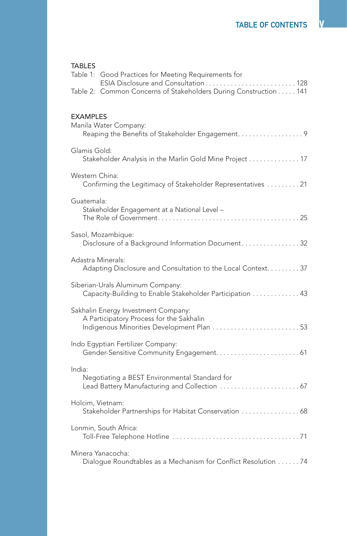| TABLES<br>Table 1: Good Practices for Meeting Requirements for<br>ESIA Disclosure and Consultation 128<br>Table 2: Common Concerns of Stakeholders During Construction 141 |
|----------------------------------------------------------------------------------------------------------------------------------------------------------------------------|
| <b>EXAMPLES</b>                                                                                                                                                            |
| Manila Water Company:<br>Reaping the Benefits of Stakeholder Engagement9                                                                                                   |
| Glamis Gold:<br>Stakeholder Analysis in the Marlin Gold Mine Project  17                                                                                                   |
| Western China:<br>Confirming the Legitimacy of Stakeholder Representatives  21                                                                                             |
| Guatemala:<br>Stakeholder Engagement at a National Level -                                                                                                                 |
| Sasol, Mozambique:<br>Disclosure of a Background Information Document32                                                                                                    |
| Adastra Minerals:<br>Adapting Disclosure and Consultation to the Local Context. 37                                                                                         |
| Siberian-Urals Aluminum Company:<br>Capacity-Building to Enable Stakeholder Participation  43                                                                              |
| Sakhalin Energy Investment Company:<br>A Participatory Process for the Sakhalin<br>Indigenous Minorities Development Plan  53                                              |
| Indo Egyptian Fertilizer Company:                                                                                                                                          |
| India:<br>Negotiating a BEST Environmental Standard for<br>Lead Battery Manufacturing and Collection  67                                                                   |
| Holcim, Vietnam:<br>Stakeholder Partnerships for Habitat Conservation  68                                                                                                  |
| Lonmin, South Africa:                                                                                                                                                      |
| Minera Yanacocha:<br>Dialogue Roundtables as a Mechanism for Conflict Resolution  74                                                                                       |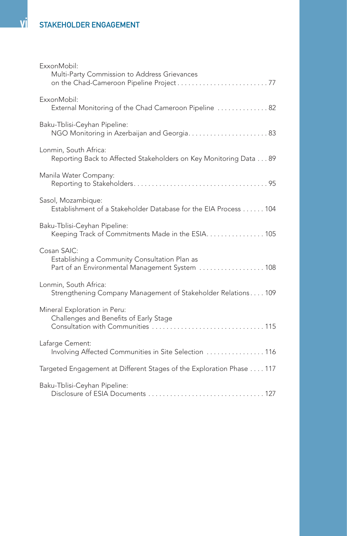| ExxonMobil:<br>Multi-Party Commission to Address Grievances                                                     |
|-----------------------------------------------------------------------------------------------------------------|
| ExxonMobil:<br>External Monitoring of the Chad Cameroon Pipeline  82                                            |
| Baku-Tblisi-Ceyhan Pipeline:                                                                                    |
| Lonmin, South Africa:<br>Reporting Back to Affected Stakeholders on Key Monitoring Data 89                      |
| Manila Water Company:                                                                                           |
| Sasol, Mozambique:<br>Establishment of a Stakeholder Database for the EIA Process 104                           |
| Baku-Tblisi-Ceyhan Pipeline:<br>Keeping Track of Commitments Made in the ESIA. 105                              |
| Cosan SAIC:<br>Establishing a Community Consultation Plan as<br>Part of an Environmental Management System  108 |
| Lonmin, South Africa:<br>Strengthening Company Management of Stakeholder Relations 109                          |
| Mineral Exploration in Peru:<br>Challenges and Benefits of Early Stage                                          |
| Lafarge Cement:<br>Involving Affected Communities in Site Selection  116                                        |
| Targeted Engagement at Different Stages of the Exploration Phase  117                                           |
| Baku-Tblisi-Ceyhan Pipeline:                                                                                    |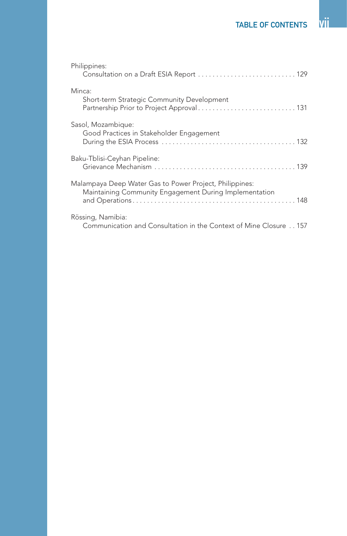| Philippines:<br>Consultation on a Draft ESIA Report  129                                                          |
|-------------------------------------------------------------------------------------------------------------------|
| Minca:<br>Short-term Strategic Community Development                                                              |
| Sasol, Mozambique:<br>Good Practices in Stakeholder Engagement                                                    |
| Baku-Tblisi-Ceyhan Pipeline:                                                                                      |
| Malampaya Deep Water Gas to Power Project, Philippines:<br>Maintaining Community Engagement During Implementation |
| Rössing, Namibia:<br>Communication and Consultation in the Context of Mine Closure 157                            |